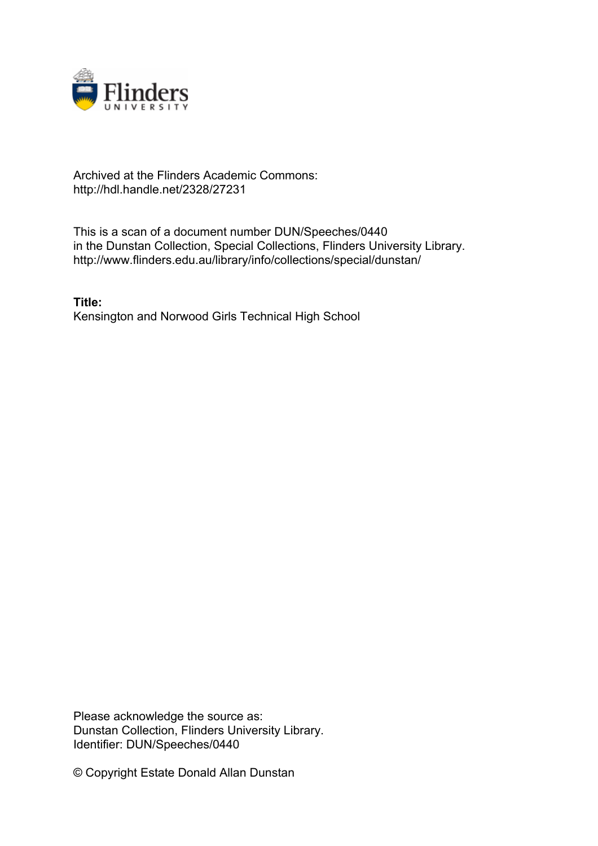

## Archived at the Flinders Academic Commons: http://hdl.handle.net/2328/27231

This is a scan of a document number DUN/Speeches/0440 in the Dunstan Collection, Special Collections, Flinders University Library. http://www.flinders.edu.au/library/info/collections/special/dunstan/

**Title:** Kensington and Norwood Girls Technical High School

Please acknowledge the source as: Dunstan Collection, Flinders University Library. Identifier: DUN/Speeches/0440

© Copyright Estate Donald Allan Dunstan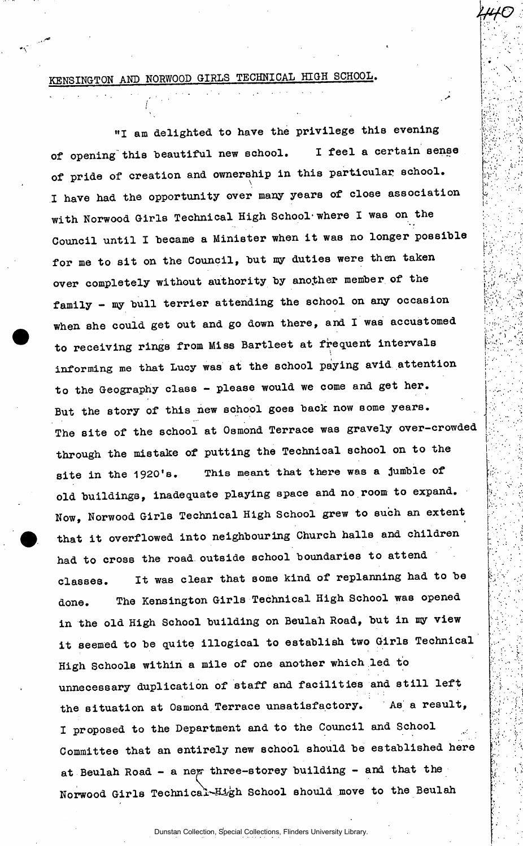## KENSINGTON AND NORWOOD GIRLS TECHNICAL HIGH SCHOOL.

 $\ell^-$ 

*iftfO* 

 $\mathcal{L}$ 

 $\mathbb{R}^N$  ,

 $\mathbf{r}$  . .

 $\mathbb{R}^3$  is the set of  $\mathbb{R}^3$ 

r"

 $\mathcal{V}_{\mathcal{C}}$  $\mathcal{L}^{\text{max}}_{\text{max}}$ 

• ' » :  $\mathbb{E}^*_{\mathbb{P}^*}$   $\rightarrow$   $\mathbb{P}^*$ 

 $\{\psi_{\alpha}\}_{\alpha=1}^N$ 

*A ' •'* • ,

 $\sum_{i=1}^{n}$ 

'''.<br>''''''

v.',;.. .'•

"I am delighted to have the privilege this evening of opening this beautiful new school. I feel a certain sense of pride of creation and ownership in this particular school. I have had the opportunity over many years of close association with Norwood Girls Technical High School-where I was on the Council until I became a Minister when it was no longer possible for me to sit on the Council, but my duties were then taken over completely without authority by another member of the family  $-$  my bull terrier attending the school on any occasion when she could get out and go down there, and I was accustomed to receiving rings from Miss Bartleet at frequent intervals informing me that Lucy was at the school paying avid attention to the Geography class - please would we come and get her. But the story of this new school goes back now some years. The site of the school at Osmond Terrace was gravely over-crowded through the mistake of putting the Technical school on to the site in the 1920's. This meant that there was a jumble of old buildings, inadequate playing space and no room to expand. Now, Norwood Girls Technical High School grew to such an extent that it overflowed into neighbouring Church halls and children had to cross the road outside school boundaries to attend classes. It was clear that some kind of replanning had to be done. The Kensington Girls Technical High School was opened in the old High School building on Beulah Road, but in my view it seemed to be quite illogical to establish two Girls Technical High Schools within a mile of one another which led to unnecessary duplication of staff and facilities and still left the situation at Osmond Terrace unsatisfactory. As a result, I proposed to the Department and to the Council and School Committee that an entirely new school should be established here at Beulah Road - a new three-storey building - and that the Norwood Girls Technical-High School should move to the Beulah

Dunstan Collection, Special Collections, Flinders University Library.